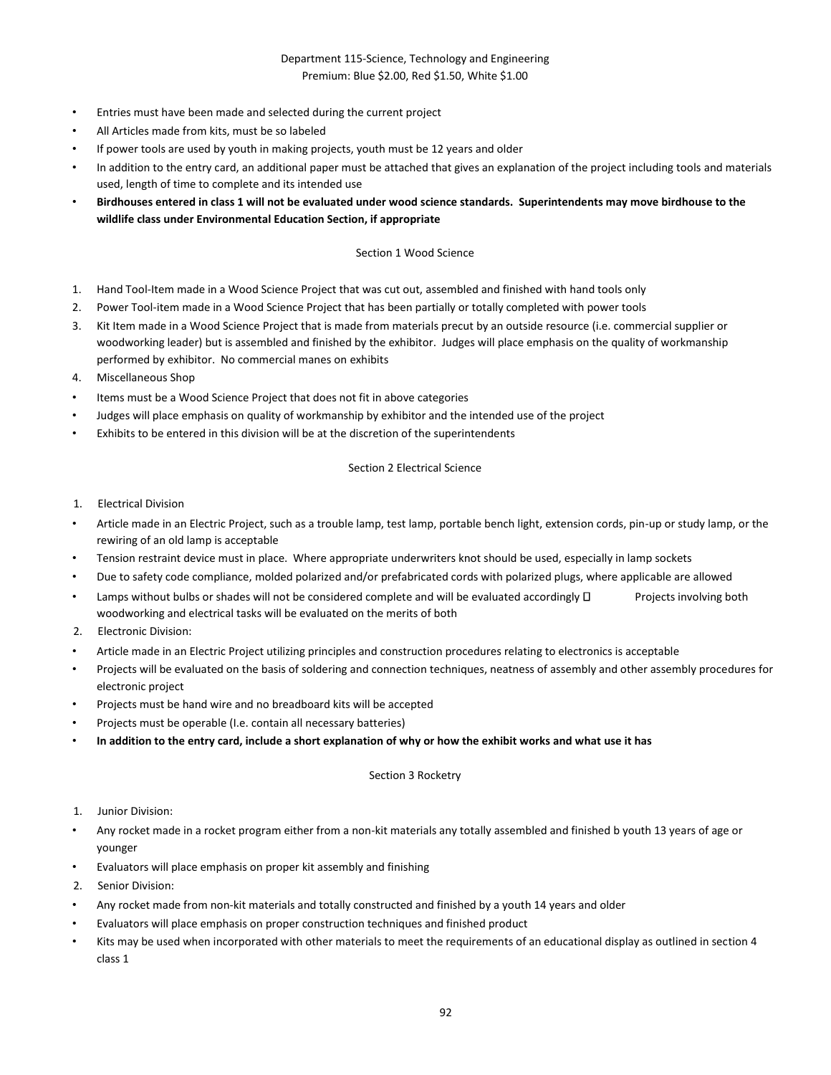# Department 115-Science, Technology and Engineering Premium: Blue \$2.00, Red \$1.50, White \$1.00

- Entries must have been made and selected during the current project
- All Articles made from kits, must be so labeled
- If power tools are used by youth in making projects, youth must be 12 years and older
- In addition to the entry card, an additional paper must be attached that gives an explanation of the project including tools and materials used, length of time to complete and its intended use
- **Birdhouses entered in class 1 will not be evaluated under wood science standards. Superintendents may move birdhouse to the wildlife class under Environmental Education Section, if appropriate**

### Section 1 Wood Science

- 1. Hand Tool-Item made in a Wood Science Project that was cut out, assembled and finished with hand tools only
- 2. Power Tool-item made in a Wood Science Project that has been partially or totally completed with power tools
- 3. Kit Item made in a Wood Science Project that is made from materials precut by an outside resource (i.e. commercial supplier or woodworking leader) but is assembled and finished by the exhibitor. Judges will place emphasis on the quality of workmanship performed by exhibitor. No commercial manes on exhibits
- 4. Miscellaneous Shop
- Items must be a Wood Science Project that does not fit in above categories
- Judges will place emphasis on quality of workmanship by exhibitor and the intended use of the project
- Exhibits to be entered in this division will be at the discretion of the superintendents

## Section 2 Electrical Science

- 1. Electrical Division
- Article made in an Electric Project, such as a trouble lamp, test lamp, portable bench light, extension cords, pin-up or study lamp, or the rewiring of an old lamp is acceptable
- Tension restraint device must in place. Where appropriate underwriters knot should be used, especially in lamp sockets
- Due to safety code compliance, molded polarized and/or prefabricated cords with polarized plugs, where applicable are allowed
- Lamps without bulbs or shades will not be considered complete and will be evaluated accordingly  $\Box$  Projects involving both woodworking and electrical tasks will be evaluated on the merits of both
- 2. Electronic Division:
- Article made in an Electric Project utilizing principles and construction procedures relating to electronics is acceptable
- Projects will be evaluated on the basis of soldering and connection techniques, neatness of assembly and other assembly procedures for electronic project
- Projects must be hand wire and no breadboard kits will be accepted
- Projects must be operable (I.e. contain all necessary batteries)
- **In addition to the entry card, include a short explanation of why or how the exhibit works and what use it has**

### Section 3 Rocketry

- 1. Junior Division:
- Any rocket made in a rocket program either from a non-kit materials any totally assembled and finished b youth 13 years of age or younger
- Evaluators will place emphasis on proper kit assembly and finishing
- 2. Senior Division:
- Any rocket made from non-kit materials and totally constructed and finished by a youth 14 years and older
- Evaluators will place emphasis on proper construction techniques and finished product
- Kits may be used when incorporated with other materials to meet the requirements of an educational display as outlined in section 4 class 1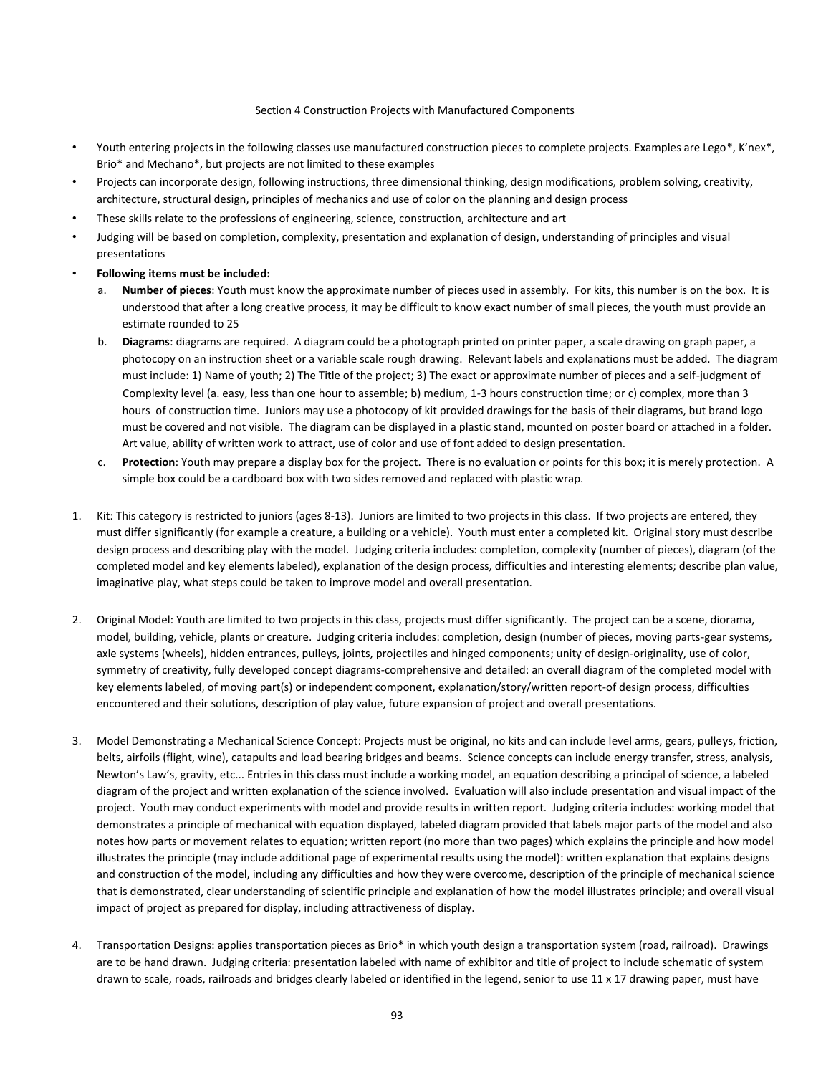#### Section 4 Construction Projects with Manufactured Components

- Youth entering projects in the following classes use manufactured construction pieces to complete projects. Examples are Lego\*, K'nex\*, Brio\* and Mechano\*, but projects are not limited to these examples
- Projects can incorporate design, following instructions, three dimensional thinking, design modifications, problem solving, creativity, architecture, structural design, principles of mechanics and use of color on the planning and design process
- These skills relate to the professions of engineering, science, construction, architecture and art
- Judging will be based on completion, complexity, presentation and explanation of design, understanding of principles and visual presentations
- **Following items must be included:** 
	- a. **Number of pieces**: Youth must know the approximate number of pieces used in assembly. For kits, this number is on the box. It is understood that after a long creative process, it may be difficult to know exact number of small pieces, the youth must provide an estimate rounded to 25
	- b. **Diagrams**: diagrams are required. A diagram could be a photograph printed on printer paper, a scale drawing on graph paper, a photocopy on an instruction sheet or a variable scale rough drawing. Relevant labels and explanations must be added. The diagram must include: 1) Name of youth; 2) The Title of the project; 3) The exact or approximate number of pieces and a self-judgment of Complexity level (a. easy, less than one hour to assemble; b) medium, 1-3 hours construction time; or c) complex, more than 3 hours of construction time. Juniors may use a photocopy of kit provided drawings for the basis of their diagrams, but brand logo must be covered and not visible. The diagram can be displayed in a plastic stand, mounted on poster board or attached in a folder. Art value, ability of written work to attract, use of color and use of font added to design presentation.
	- c. **Protection**: Youth may prepare a display box for the project. There is no evaluation or points for this box; it is merely protection. A simple box could be a cardboard box with two sides removed and replaced with plastic wrap.
- 1. Kit: This category is restricted to juniors (ages 8-13). Juniors are limited to two projects in this class. If two projects are entered, they must differ significantly (for example a creature, a building or a vehicle). Youth must enter a completed kit. Original story must describe design process and describing play with the model. Judging criteria includes: completion, complexity (number of pieces), diagram (of the completed model and key elements labeled), explanation of the design process, difficulties and interesting elements; describe plan value, imaginative play, what steps could be taken to improve model and overall presentation.
- 2. Original Model: Youth are limited to two projects in this class, projects must differ significantly. The project can be a scene, diorama, model, building, vehicle, plants or creature. Judging criteria includes: completion, design (number of pieces, moving parts-gear systems, axle systems (wheels), hidden entrances, pulleys, joints, projectiles and hinged components; unity of design-originality, use of color, symmetry of creativity, fully developed concept diagrams-comprehensive and detailed: an overall diagram of the completed model with key elements labeled, of moving part(s) or independent component, explanation/story/written report-of design process, difficulties encountered and their solutions, description of play value, future expansion of project and overall presentations.
- 3. Model Demonstrating a Mechanical Science Concept: Projects must be original, no kits and can include level arms, gears, pulleys, friction, belts, airfoils (flight, wine), catapults and load bearing bridges and beams. Science concepts can include energy transfer, stress, analysis, Newton's Law's, gravity, etc... Entries in this class must include a working model, an equation describing a principal of science, a labeled diagram of the project and written explanation of the science involved. Evaluation will also include presentation and visual impact of the project. Youth may conduct experiments with model and provide results in written report. Judging criteria includes: working model that demonstrates a principle of mechanical with equation displayed, labeled diagram provided that labels major parts of the model and also notes how parts or movement relates to equation; written report (no more than two pages) which explains the principle and how model illustrates the principle (may include additional page of experimental results using the model): written explanation that explains designs and construction of the model, including any difficulties and how they were overcome, description of the principle of mechanical science that is demonstrated, clear understanding of scientific principle and explanation of how the model illustrates principle; and overall visual impact of project as prepared for display, including attractiveness of display.
- 4. Transportation Designs: applies transportation pieces as Brio\* in which youth design a transportation system (road, railroad). Drawings are to be hand drawn. Judging criteria: presentation labeled with name of exhibitor and title of project to include schematic of system drawn to scale, roads, railroads and bridges clearly labeled or identified in the legend, senior to use 11 x 17 drawing paper, must have